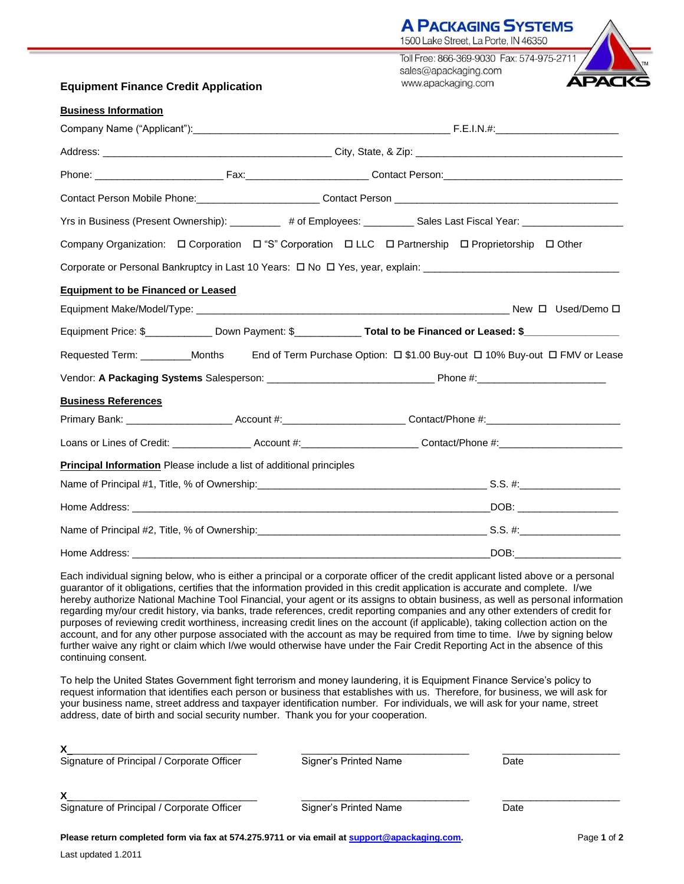|                                                                                                    | TOUU LAKE STIEEL, LA POITE, IN 40300                                                                                                                                                                                           |
|----------------------------------------------------------------------------------------------------|--------------------------------------------------------------------------------------------------------------------------------------------------------------------------------------------------------------------------------|
|                                                                                                    | Toll Free: 866-369-9030 Fax: 574-975-2711 /                                                                                                                                                                                    |
| <b>Equipment Finance Credit Application</b>                                                        | sales@apackaging.com<br><b>APACK</b><br>www.apackaging.com                                                                                                                                                                     |
|                                                                                                    |                                                                                                                                                                                                                                |
| <b>Business Information</b>                                                                        |                                                                                                                                                                                                                                |
|                                                                                                    |                                                                                                                                                                                                                                |
|                                                                                                    |                                                                                                                                                                                                                                |
|                                                                                                    |                                                                                                                                                                                                                                |
|                                                                                                    | Contact Person Mobile Phone: Contact Person Contact Person Contact Person Contact Person Contact Person Contact Person Contact Person Contact Person Contact Person Contact Person Contact Person Contact Person Contact Perso |
|                                                                                                    | Yrs in Business (Present Ownership): _________ # of Employees: _________ Sales Last Fiscal Year: ___________________                                                                                                           |
| Company Organization: □ Corporation □ "S" Corporation □ LLC □ Partnership □ Proprietorship □ Other |                                                                                                                                                                                                                                |
|                                                                                                    |                                                                                                                                                                                                                                |
| <b>Equipment to be Financed or Leased</b>                                                          |                                                                                                                                                                                                                                |
|                                                                                                    |                                                                                                                                                                                                                                |
|                                                                                                    | Equipment Price: \$_______________ Down Payment: \$______________ Total to be Financed or Leased: \$___________________                                                                                                        |
|                                                                                                    | Requested Term: _________Months End of Term Purchase Option: $\Box$ \$1.00 Buy-out $\Box$ 10% Buy-out $\Box$ FMV or Lease                                                                                                      |
|                                                                                                    |                                                                                                                                                                                                                                |
| <b>Business References</b>                                                                         |                                                                                                                                                                                                                                |
|                                                                                                    |                                                                                                                                                                                                                                |
|                                                                                                    | Loans or Lines of Credit: _________________Account #:_________________________Contact/Phone #:________________                                                                                                                 |
| Principal Information Please include a list of additional principles                               |                                                                                                                                                                                                                                |
|                                                                                                    |                                                                                                                                                                                                                                |
|                                                                                                    |                                                                                                                                                                                                                                |
|                                                                                                    |                                                                                                                                                                                                                                |
|                                                                                                    |                                                                                                                                                                                                                                |

**A PACKAGING SYSTEMS** 

Each individual signing below, who is either a principal or a corporate officer of the credit applicant listed above or a personal guarantor of it obligations, certifies that the information provided in this credit application is accurate and complete. I/we hereby authorize National Machine Tool Financial, your agent or its assigns to obtain business, as well as personal information regarding my/our credit history, via banks, trade references, credit reporting companies and any other extenders of credit for purposes of reviewing credit worthiness, increasing credit lines on the account (if applicable), taking collection action on the account, and for any other purpose associated with the account as may be required from time to time. I/we by signing below further waive any right or claim which I/we would otherwise have under the Fair Credit Reporting Act in the absence of this continuing consent.

Home Address: \_\_\_\_\_\_\_\_\_\_\_\_\_\_\_\_\_\_\_\_\_\_\_\_\_\_\_\_\_\_\_\_\_\_\_\_\_\_\_\_\_\_\_\_\_\_\_\_\_\_\_\_\_\_\_\_\_\_\_\_\_\_\_\_DOB:\_\_\_\_\_\_\_\_\_\_\_\_\_\_\_\_\_\_\_

To help the United States Government fight terrorism and money laundering, it is Equipment Finance Service's policy to request information that identifies each person or business that establishes with us. Therefore, for business, we will ask for your business name, street address and taxpayer identification number. For individuals, we will ask for your name, street address, date of birth and social security number. Thank you for your cooperation.

| Signature of Principal / Corporate Officer | Signer's Printed Name | Date |  |
|--------------------------------------------|-----------------------|------|--|
|                                            |                       |      |  |
| Signature of Principal / Corporate Officer | Signer's Printed Name | Date |  |
|                                            |                       |      |  |